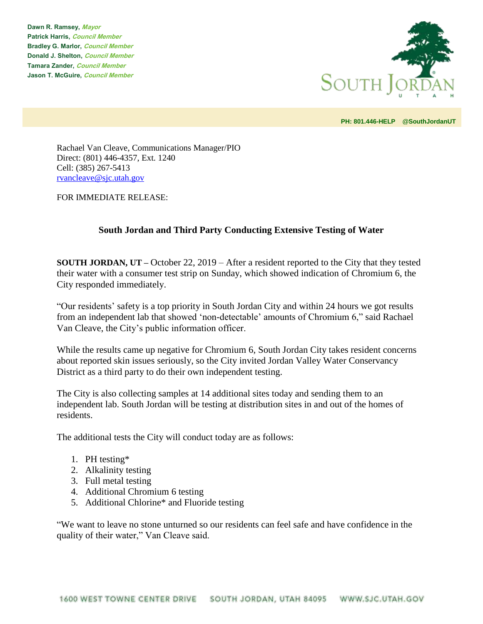**Dawn R. Ramsey, Mayor Patrick Harris, Council Member Bradley G. Marlor, Council Member Donald J. Shelton, Council Member Tamara Zander, Council Member Jason T. McGuire, Council Member**



**PH: 801.446-HELP @SouthJordanUT** 

Rachael Van Cleave, Communications Manager/PIO Direct: (801) 446-4357, Ext. 1240 Cell: (385) 267-5413 [rvancleave@sjc.utah.gov](mailto:rvancleave@sjc.utah.gov)

FOR IMMEDIATE RELEASE:

## **South Jordan and Third Party Conducting Extensive Testing of Water**

**SOUTH JORDAN, UT –** October 22, 2019 – After a resident reported to the City that they tested their water with a consumer test strip on Sunday, which showed indication of Chromium 6, the City responded immediately.

"Our residents' safety is a top priority in South Jordan City and within 24 hours we got results from an independent lab that showed 'non-detectable' amounts of Chromium 6," said Rachael Van Cleave, the City's public information officer.

While the results came up negative for Chromium 6, South Jordan City takes resident concerns about reported skin issues seriously, so the City invited Jordan Valley Water Conservancy District as a third party to do their own independent testing.

The City is also collecting samples at 14 additional sites today and sending them to an independent lab. South Jordan will be testing at distribution sites in and out of the homes of residents.

The additional tests the City will conduct today are as follows:

- 1. PH testing\*
- 2. Alkalinity testing
- 3. Full metal testing
- 4. Additional Chromium 6 testing
- 5. Additional Chlorine\* and Fluoride testing

"We want to leave no stone unturned so our residents can feel safe and have confidence in the quality of their water," Van Cleave said.